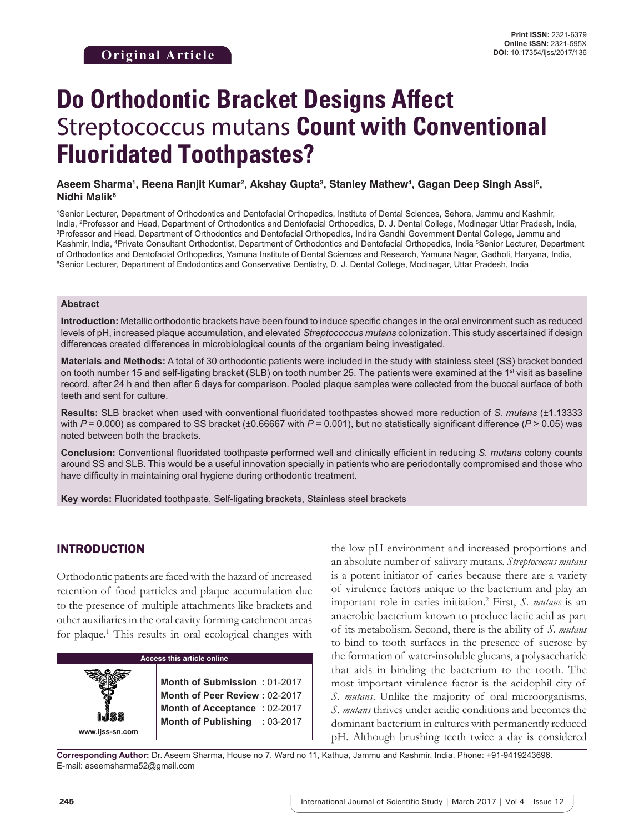# **Do Orthodontic Bracket Designs Affect**  Streptococcus mutans **Count with Conventional Fluoridated Toothpastes?**

#### Aseem Sharma<sup>ı</sup>, Reena Ranjit Kumar<sup>2</sup>, Akshay Gupta<sup>s</sup>, Stanley Mathew<sup>4</sup>, Gagan Deep Singh Assi<sup>s</sup>, **Nidhi Malik<sup>6</sup>**

1 Senior Lecturer, Department of Orthodontics and Dentofacial Orthopedics, Institute of Dental Sciences, Sehora, Jammu and Kashmir, India, <sup>2</sup>Professor and Head, Department of Orthodontics and Dentofacial Orthopedics, D. J. Dental College, Modinagar Uttar Pradesh, India,<br><sup>3Drofessor and Head, Department of Orthodontics and Dentofacial Orthonedics, Indi</sup> <sup>3</sup>Professor and Head, Department of Orthodontics and Dentofacial Orthopedics, Indira Gandhi Government Dental College, Jammu and Kashmir, India, <sup>4</sup>Private Consultant Orthodontist, Department of Orthodontics and Dentofacial Orthopedics, India <sup>5</sup>Senior Lecturer, Department of Orthodontics and Dentofacial Orthopedics, Yamuna Institute of Dental Sciences and Research, Yamuna Nagar, Gadholi, Haryana, India, 6 Senior Lecturer, Department of Endodontics and Conservative Dentistry, D. J. Dental College, Modinagar, Uttar Pradesh, India

#### **Abstract**

**Introduction:** Metallic orthodontic brackets have been found to induce specific changes in the oral environment such as reduced levels of pH, increased plaque accumulation, and elevated *Streptococcus mutans* colonization. This study ascertained if design differences created differences in microbiological counts of the organism being investigated.

**Materials and Methods:** A total of 30 orthodontic patients were included in the study with stainless steel (SS) bracket bonded on tooth number 15 and self-ligating bracket (SLB) on tooth number 25. The patients were examined at the 1<sup>st</sup> visit as baseline record, after 24 h and then after 6 days for comparison. Pooled plaque samples were collected from the buccal surface of both teeth and sent for culture.

**Results:** SLB bracket when used with conventional fluoridated toothpastes showed more reduction of *S. mutans* (±1.13333 with  $P = 0.000$  as compared to SS bracket (±0.66667 with  $P = 0.001$ ), but no statistically significant difference ( $P > 0.05$ ) was noted between both the brackets.

**Conclusion:** Conventional fluoridated toothpaste performed well and clinically efficient in reducing *S. mutans* colony counts around SS and SLB. This would be a useful innovation specially in patients who are periodontally compromised and those who have difficulty in maintaining oral hygiene during orthodontic treatment.

**Key words:** Fluoridated toothpaste, Self-ligating brackets, Stainless steel brackets

# INTRODUCTION

Orthodontic patients are faced with the hazard of increased retention of food particles and plaque accumulation due to the presence of multiple attachments like brackets and other auxiliaries in the oral cavity forming catchment areas for plaque.<sup>1</sup> This results in oral ecological changes with



the low pH environment and increased proportions and an absolute number of salivary mutans. *Streptococcus mutans* is a potent initiator of caries because there are a variety of virulence factors unique to the bacterium and play an important role in caries initiation.2 First, *S. mutans* is an anaerobic bacterium known to produce lactic acid as part of its metabolism. Second, there is the ability of *S. mutans* to bind to tooth surfaces in the presence of sucrose by the formation of water-insoluble glucans, a polysaccharide that aids in binding the bacterium to the tooth. The most important virulence factor is the acidophil city of *S. mutans*. Unlike the majority of oral microorganisms, *S. mutans* thrives under acidic conditions and becomes the dominant bacterium in cultures with permanently reduced pH. Although brushing teeth twice a day is considered

**Corresponding Author:** Dr. Aseem Sharma, House no 7, Ward no 11, Kathua, Jammu and Kashmir, India. Phone: +91-9419243696. E-mail: aseemsharma52@gmail.com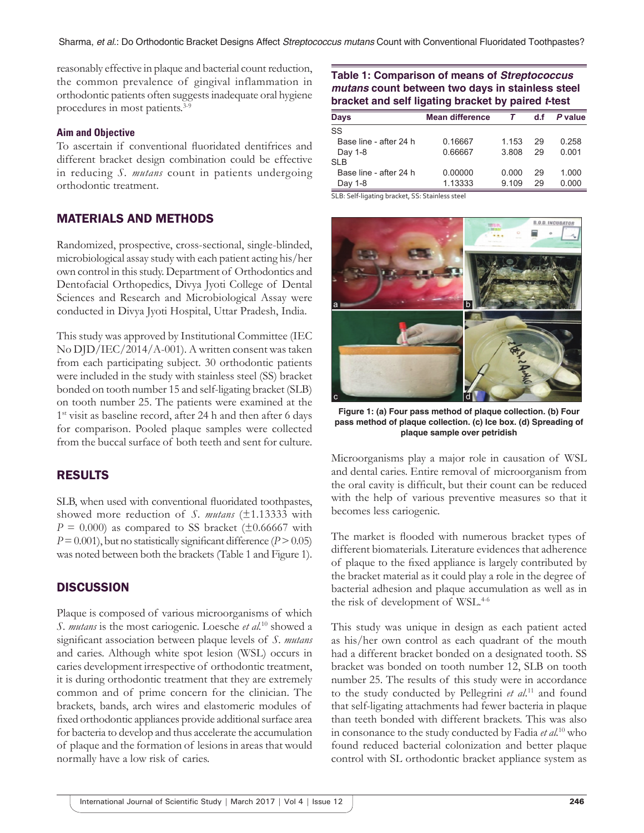reasonably effective in plaque and bacterial count reduction, the common prevalence of gingival inflammation in orthodontic patients often suggests inadequate oral hygiene procedures in most patients.<sup>3-9</sup>

#### **Aim and Objective**

To ascertain if conventional fluoridated dentifrices and different bracket design combination could be effective in reducing *S. mutans* count in patients undergoing orthodontic treatment.

## MATERIALS AND METHODS

Randomized, prospective, cross-sectional, single-blinded, microbiological assay study with each patient acting his/her own control in this study. Department of Orthodontics and Dentofacial Orthopedics, Divya Jyoti College of Dental Sciences and Research and Microbiological Assay were conducted in Divya Jyoti Hospital, Uttar Pradesh, India.

This study was approved by Institutional Committee (IEC No DJD/IEC/2014/A-001). A written consent was taken from each participating subject. 30 orthodontic patients were included in the study with stainless steel (SS) bracket bonded on tooth number 15 and self-ligating bracket (SLB) on tooth number 25. The patients were examined at the 1<sup>st</sup> visit as baseline record, after 24 h and then after 6 days for comparison. Pooled plaque samples were collected from the buccal surface of both teeth and sent for culture.

# RESULTS

SLB, when used with conventional fluoridated toothpastes, showed more reduction of *S. mutans* (±1.13333 with  $P = 0.000$ ) as compared to SS bracket ( $\pm 0.66667$  with  $P=0.001$ , but no statistically significant difference ( $P > 0.05$ ) was noted between both the brackets (Table 1 and Figure 1).

### **DISCUSSION**

Plaque is composed of various microorganisms of which *S. mutans* is the most cariogenic. Loesche *et al.*10 showed a significant association between plaque levels of *S. mutans* and caries. Although white spot lesion (WSL) occurs in caries development irrespective of orthodontic treatment, it is during orthodontic treatment that they are extremely common and of prime concern for the clinician. The brackets, bands, arch wires and elastomeric modules of fixed orthodontic appliances provide additional surface area for bacteria to develop and thus accelerate the accumulation of plaque and the formation of lesions in areas that would normally have a low risk of caries.

## **Table 1: Comparison of means of** *Streptococcus mutans* **count between two days in stainless steel bracket and self ligating bracket by paired** *t***-test**

| <b>Days</b>            | <b>Mean difference</b> |       | d.f | P value |
|------------------------|------------------------|-------|-----|---------|
| SS                     |                        |       |     |         |
| Base line - after 24 h | 0.16667                | 1.153 | 29  | 0.258   |
| Day 1-8                | 0.66667                | 3.808 | 29  | 0.001   |
| SI <sub>B</sub>        |                        |       |     |         |
| Base line - after 24 h | 0.00000                | 0.000 | 29  | 1.000   |
| Day 1-8                | 1.13333                | 9.109 | 29  | 0.000   |
|                        |                        |       |     |         |

SLB: Self‑ligating bracket, SS: Stainless steel



**Figure 1: (a) Four pass method of plaque collection. (b) Four pass method of plaque collection. (c) Ice box. (d) Spreading of plaque sample over petridish**

Microorganisms play a major role in causation of WSL and dental caries. Entire removal of microorganism from the oral cavity is difficult, but their count can be reduced with the help of various preventive measures so that it becomes less cariogenic.

The market is flooded with numerous bracket types of different biomaterials. Literature evidences that adherence of plaque to the fixed appliance is largely contributed by the bracket material as it could play a role in the degree of bacterial adhesion and plaque accumulation as well as in the risk of development of WSL.<sup>4-6</sup>

This study was unique in design as each patient acted as his/her own control as each quadrant of the mouth had a different bracket bonded on a designated tooth. SS bracket was bonded on tooth number 12, SLB on tooth number 25. The results of this study were in accordance to the study conducted by Pellegrini *et al*. 11 and found that self-ligating attachments had fewer bacteria in plaque than teeth bonded with different brackets. This was also in consonance to the study conducted by Fadia *et al.*10 who found reduced bacterial colonization and better plaque control with SL orthodontic bracket appliance system as